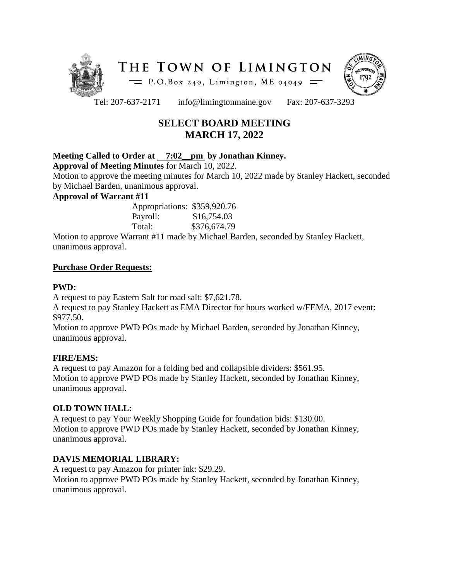



Tel: 207-637-2171 info@limingtonmaine.gov Fax: 207-637-3293

# **SELECT BOARD MEETING MARCH 17, 2022**

# **Meeting Called to Order at 7:02\_\_pm by Jonathan Kinney.**

**Approval of Meeting Minutes** for March 10, 2022.

Motion to approve the meeting minutes for March 10, 2022 made by Stanley Hackett, seconded by Michael Barden, unanimous approval.

## **Approval of Warrant #11**

Appropriations: \$359,920.76 Payroll: \$16,754.03 Total: \$376,674.79

Motion to approve Warrant #11 made by Michael Barden, seconded by Stanley Hackett, unanimous approval.

## **Purchase Order Requests:**

# **PWD:**

A request to pay Eastern Salt for road salt: \$7,621.78.

A request to pay Stanley Hackett as EMA Director for hours worked w/FEMA, 2017 event: \$977.50.

Motion to approve PWD POs made by Michael Barden, seconded by Jonathan Kinney, unanimous approval.

# **FIRE/EMS:**

A request to pay Amazon for a folding bed and collapsible dividers: \$561.95. Motion to approve PWD POs made by Stanley Hackett, seconded by Jonathan Kinney, unanimous approval.

# **OLD TOWN HALL:**

A request to pay Your Weekly Shopping Guide for foundation bids: \$130.00. Motion to approve PWD POs made by Stanley Hackett, seconded by Jonathan Kinney, unanimous approval.

# **DAVIS MEMORIAL LIBRARY:**

A request to pay Amazon for printer ink: \$29.29. Motion to approve PWD POs made by Stanley Hackett, seconded by Jonathan Kinney, unanimous approval.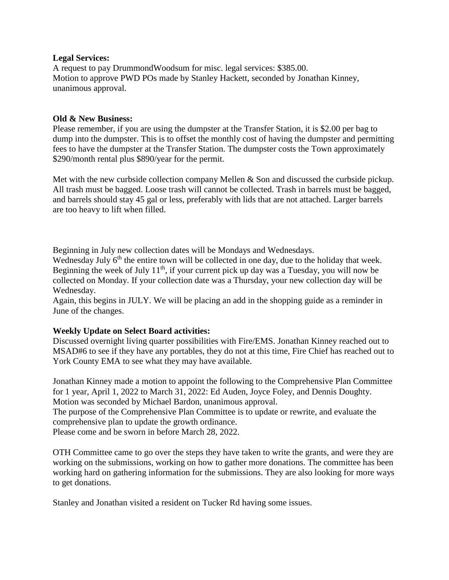#### **Legal Services:**

A request to pay DrummondWoodsum for misc. legal services: \$385.00. Motion to approve PWD POs made by Stanley Hackett, seconded by Jonathan Kinney, unanimous approval.

#### **Old & New Business:**

Please remember, if you are using the dumpster at the Transfer Station, it is \$2.00 per bag to dump into the dumpster. This is to offset the monthly cost of having the dumpster and permitting fees to have the dumpster at the Transfer Station. The dumpster costs the Town approximately \$290/month rental plus \$890/year for the permit.

Met with the new curbside collection company Mellen & Son and discussed the curbside pickup. All trash must be bagged. Loose trash will cannot be collected. Trash in barrels must be bagged, and barrels should stay 45 gal or less, preferably with lids that are not attached. Larger barrels are too heavy to lift when filled.

Beginning in July new collection dates will be Mondays and Wednesdays.

Wednesday July  $6<sup>th</sup>$  the entire town will be collected in one day, due to the holiday that week. Beginning the week of July  $11<sup>th</sup>$ , if your current pick up day was a Tuesday, you will now be collected on Monday. If your collection date was a Thursday, your new collection day will be Wednesday.

Again, this begins in JULY. We will be placing an add in the shopping guide as a reminder in June of the changes.

#### **Weekly Update on Select Board activities:**

Discussed overnight living quarter possibilities with Fire/EMS. Jonathan Kinney reached out to MSAD#6 to see if they have any portables, they do not at this time, Fire Chief has reached out to York County EMA to see what they may have available.

Jonathan Kinney made a motion to appoint the following to the Comprehensive Plan Committee for 1 year, April 1, 2022 to March 31, 2022: Ed Auden, Joyce Foley, and Dennis Doughty. Motion was seconded by Michael Bardon, unanimous approval.

The purpose of the Comprehensive Plan Committee is to update or rewrite, and evaluate the comprehensive plan to update the growth ordinance.

Please come and be sworn in before March 28, 2022.

OTH Committee came to go over the steps they have taken to write the grants, and were they are working on the submissions, working on how to gather more donations. The committee has been working hard on gathering information for the submissions. They are also looking for more ways to get donations.

Stanley and Jonathan visited a resident on Tucker Rd having some issues.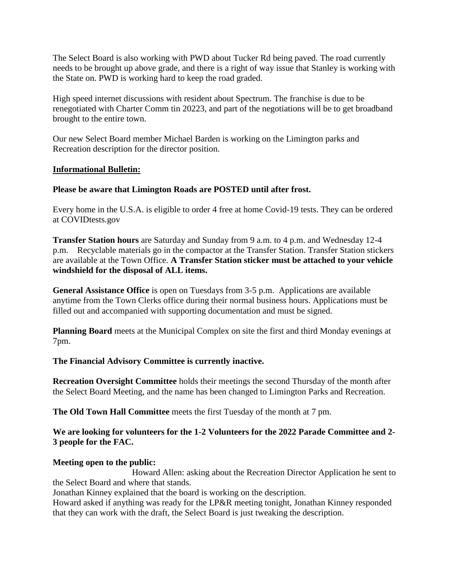The Select Board is also working with PWD about Tucker Rd being paved. The road currently needs to be brought up above grade, and there is a right of way issue that Stanley is working with the State on. PWD is working hard to keep the road graded.

High speed internet discussions with resident about Spectrum. The franchise is due to be renegotiated with Charter Comm tin 20223, and part of the negotiations will be to get broadband brought to the entire town.

Our new Select Board member Michael Barden is working on the Limington parks and Recreation description for the director position.

## **Informational Bulletin:**

## **Please be aware that Limington Roads are POSTED until after frost.**

Every home in the U.S.A. is eligible to order 4 free at home Covid-19 tests. They can be ordered at COVIDtests.gov

**Transfer Station hours** are Saturday and Sunday from 9 a.m. to 4 p.m. and Wednesday 12-4 p.m. Recyclable materials go in the compactor at the Transfer Station. Transfer Station stickers are available at the Town Office. **A Transfer Station sticker must be attached to your vehicle windshield for the disposal of ALL items.**

**General Assistance Office** is open on Tuesdays from 3-5 p.m. Applications are available anytime from the Town Clerks office during their normal business hours. Applications must be filled out and accompanied with supporting documentation and must be signed.

**Planning Board** meets at the Municipal Complex on site the first and third Monday evenings at 7pm.

**The Financial Advisory Committee is currently inactive.** 

**Recreation Oversight Committee** holds their meetings the second Thursday of the month after the Select Board Meeting, and the name has been changed to Limington Parks and Recreation.

**The Old Town Hall Committee** meets the first Tuesday of the month at 7 pm.

# **We are looking for volunteers for the 1-2 Volunteers for the 2022 Parade Committee and 2- 3 people for the FAC.**

#### **Meeting open to the public:**

Howard Allen: asking about the Recreation Director Application he sent to the Select Board and where that stands.

Jonathan Kinney explained that the board is working on the description.

Howard asked if anything was ready for the LP&R meeting tonight, Jonathan Kinney responded that they can work with the draft, the Select Board is just tweaking the description.